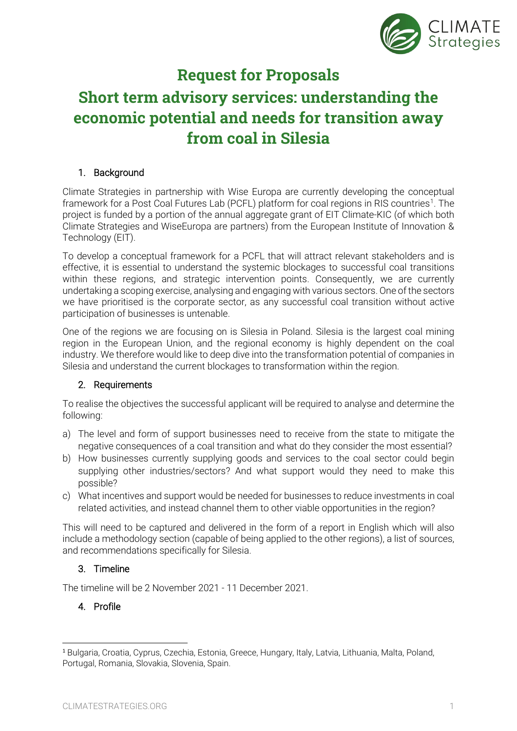

# **Request for Proposals**

# **Short term advisory services: understanding the economic potential and needs for transition away from coal in Silesia**

# 1. Background

Climate Strategies in partnership with Wise Europa are currently developing the conceptual framework for a Post Coal Futures Lab (PCFL) platform for coal regions in RIS countries<sup>[1](#page-0-0)</sup>. The project is funded by a portion of the annual aggregate grant of EIT Climate-KIC (of which both Climate Strategies and WiseEuropa are partners) from the European Institute of Innovation & Technology (EIT).

To develop a conceptual framework for a PCFL that will attract relevant stakeholders and is effective, it is essential to understand the systemic blockages to successful coal transitions within these regions, and strategic intervention points. Consequently, we are currently undertaking a scoping exercise, analysing and engaging with various sectors. One of the sectors we have prioritised is the corporate sector, as any successful coal transition without active participation of businesses is untenable.

One of the regions we are focusing on is Silesia in Poland. Silesia is the largest coal mining region in the European Union, and the regional economy is highly dependent on the coal industry. We therefore would like to deep dive into the transformation potential of companies in Silesia and understand the current blockages to transformation within the region.

#### 2. Requirements

To realise the objectives the successful applicant will be required to analyse and determine the following:

- a) The level and form of support businesses need to receive from the state to mitigate the negative consequences of a coal transition and what do they consider the most essential?
- b) How businesses currently supplying goods and services to the coal sector could begin supplying other industries/sectors? And what support would they need to make this possible?
- c) What incentives and support would be needed for businesses to reduce investments in coal related activities, and instead channel them to other viable opportunities in the region?

This will need to be captured and delivered in the form of a report in English which will also include a methodology section (capable of being applied to the other regions), a list of sources, and recommendations specifically for Silesia.

## 3. Timeline

The timeline will be 2 November 2021 - 11 December 2021.

## 4. Profile

<span id="page-0-0"></span><sup>1</sup> Bulgaria, Croatia, Cyprus, Czechia, Estonia, Greece, Hungary, Italy, Latvia, Lithuania, Malta, Poland, Portugal, Romania, Slovakia, Slovenia, Spain.